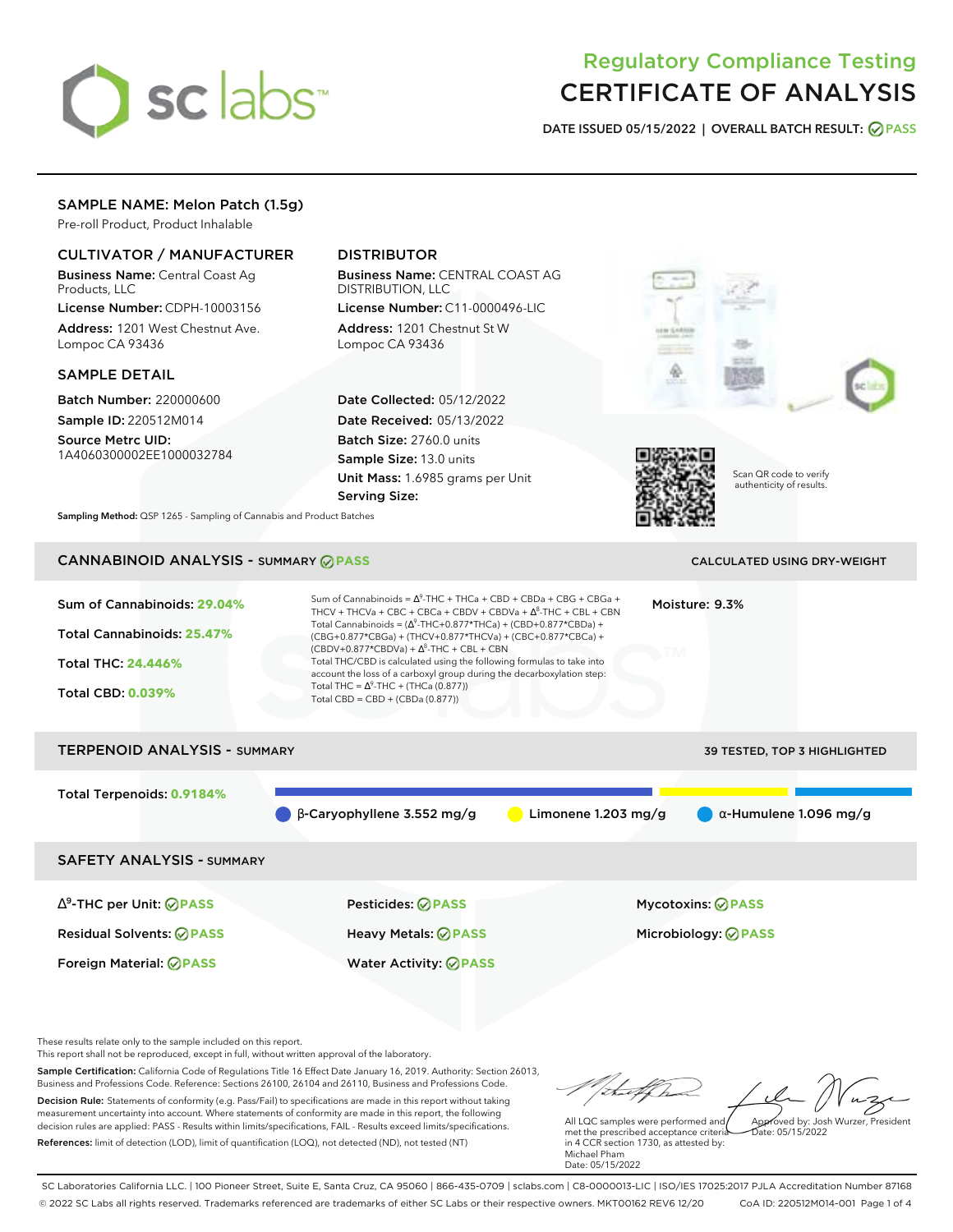# sclabs<sup>\*</sup>

# Regulatory Compliance Testing CERTIFICATE OF ANALYSIS

**DATE ISSUED 05/15/2022 | OVERALL BATCH RESULT: PASS**

## SAMPLE NAME: Melon Patch (1.5g)

Pre-roll Product, Product Inhalable

## CULTIVATOR / MANUFACTURER

Business Name: Central Coast Ag Products, LLC

License Number: CDPH-10003156 Address: 1201 West Chestnut Ave. Lompoc CA 93436

#### SAMPLE DETAIL

Batch Number: 220000600 Sample ID: 220512M014

Source Metrc UID: 1A4060300002EE1000032784

# DISTRIBUTOR

Business Name: CENTRAL COAST AG DISTRIBUTION, LLC License Number: C11-0000496-LIC

Address: 1201 Chestnut St W Lompoc CA 93436

Date Collected: 05/12/2022 Date Received: 05/13/2022 Batch Size: 2760.0 units Sample Size: 13.0 units Unit Mass: 1.6985 grams per Unit Serving Size:





Scan QR code to verify authenticity of results.

**Sampling Method:** QSP 1265 - Sampling of Cannabis and Product Batches

# **CANNABINOID ANALYSIS - SUMMARY @ PASS** CALCULATED USING DRY-WEIGHT

# Sum of Cannabinoids: **29.04%** Total Cannabinoids: **25.47%** Total THC: **24.446%** Total CBD: **0.039%** Sum of Cannabinoids =  $\Delta^9$ -THC + THCa + CBD + CBDa + CBG + CBGa + THCV + THCVa + CBC + CBCa + CBDV + CBDVa +  $\Delta^8$ -THC + CBL + CBN Total Cannabinoids = ( $\Delta^9$ -THC+0.877\*THCa) + (CBD+0.877\*CBDa) + (CBG+0.877\*CBGa) + (THCV+0.877\*THCVa) + (CBC+0.877\*CBCa) +  $(CBDV+0.877*CBDVa) + \Delta^8$ -THC + CBL + CBN Total THC/CBD is calculated using the following formulas to take into account the loss of a carboxyl group during the decarboxylation step: Total THC =  $\Delta^9$ -THC + (THCa (0.877)) Total CBD = CBD + (CBDa (0.877)) Moisture: 9.3% TERPENOID ANALYSIS - SUMMARY 39 TESTED, TOP 3 HIGHLIGHTED Total Terpenoids: **0.9184%**  $\theta$  β-Caryophyllene 3.552 mg/g **a** Limonene 1.203 mg/g **a** α-Humulene 1.096 mg/g SAFETY ANALYSIS - SUMMARY ∆ 9 -THC per Unit: **PASS** Pesticides: **PASS** Mycotoxins: **PASS** Residual Solvents: **PASS** Heavy Metals: **PASS** Microbiology: **PASS** Foreign Material: **PASS** Water Activity: **PASS**

These results relate only to the sample included on this report.

This report shall not be reproduced, except in full, without written approval of the laboratory.

Sample Certification: California Code of Regulations Title 16 Effect Date January 16, 2019. Authority: Section 26013, Business and Professions Code. Reference: Sections 26100, 26104 and 26110, Business and Professions Code. Decision Rule: Statements of conformity (e.g. Pass/Fail) to specifications are made in this report without taking measurement uncertainty into account. Where statements of conformity are made in this report, the following decision rules are applied: PASS - Results within limits/specifications, FAIL - Results exceed limits/specifications.

References: limit of detection (LOD), limit of quantification (LOQ), not detected (ND), not tested (NT)

Approved by: Josh Wurzer, President

 $hat: 05/15/2022$ 

All LQC samples were performed and met the prescribed acceptance criteria in 4 CCR section 1730, as attested by: Michael Pham Date: 05/15/2022

SC Laboratories California LLC. | 100 Pioneer Street, Suite E, Santa Cruz, CA 95060 | 866-435-0709 | sclabs.com | C8-0000013-LIC | ISO/IES 17025:2017 PJLA Accreditation Number 87168 © 2022 SC Labs all rights reserved. Trademarks referenced are trademarks of either SC Labs or their respective owners. MKT00162 REV6 12/20 CoA ID: 220512M014-001 Page 1 of 4